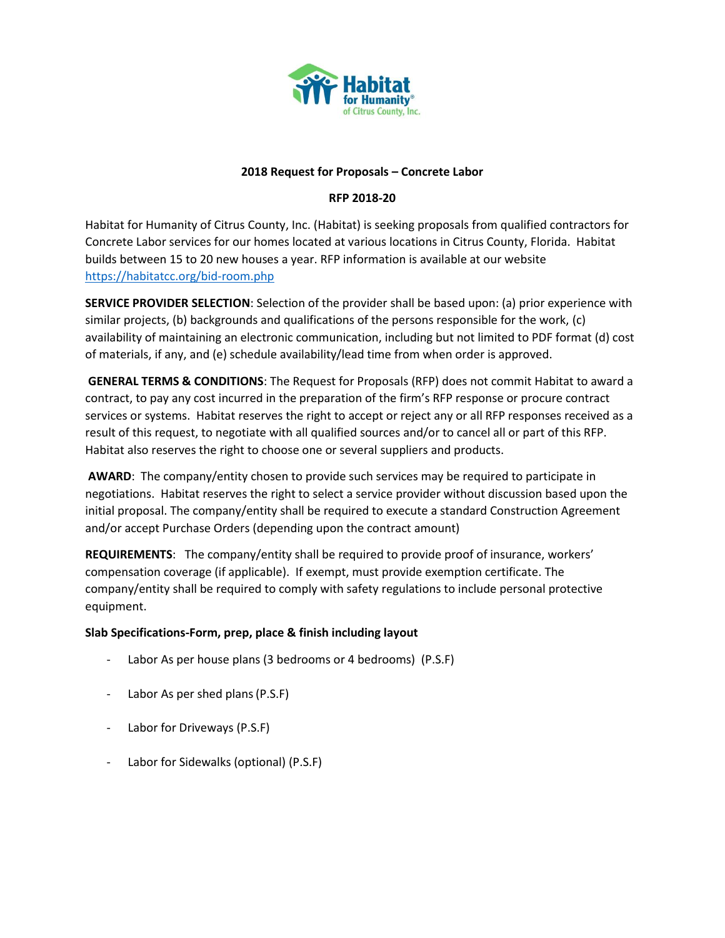

### **2018 Request for Proposals – Concrete Labor**

# **RFP 2018-20**

Habitat for Humanity of Citrus County, Inc. (Habitat) is seeking proposals from qualified contractors for Concrete Labor services for our homes located at various locations in Citrus County, Florida. Habitat builds between 15 to 20 new houses a year. RFP information is available at our website <https://habitatcc.org/bid-room.php>

**SERVICE PROVIDER SELECTION**: Selection of the provider shall be based upon: (a) prior experience with similar projects, (b) backgrounds and qualifications of the persons responsible for the work, (c) availability of maintaining an electronic communication, including but not limited to PDF format (d) cost of materials, if any, and (e) schedule availability/lead time from when order is approved.

**GENERAL TERMS & CONDITIONS**: The Request for Proposals (RFP) does not commit Habitat to award a contract, to pay any cost incurred in the preparation of the firm's RFP response or procure contract services or systems. Habitat reserves the right to accept or reject any or all RFP responses received as a result of this request, to negotiate with all qualified sources and/or to cancel all or part of this RFP. Habitat also reserves the right to choose one or several suppliers and products.

**AWARD**: The company/entity chosen to provide such services may be required to participate in negotiations. Habitat reserves the right to select a service provider without discussion based upon the initial proposal. The company/entity shall be required to execute a standard Construction Agreement and/or accept Purchase Orders (depending upon the contract amount)

**REQUIREMENTS**: The company/entity shall be required to provide proof of insurance, workers' compensation coverage (if applicable). If exempt, must provide exemption certificate. The company/entity shall be required to comply with safety regulations to include personal protective equipment.

## **Slab Specifications-Form, prep, place & finish including layout**

- Labor As per house plans (3 bedrooms or 4 bedrooms) (P.S.F)
- Labor As per shed plans(P.S.F)
- Labor for Driveways (P.S.F)
- Labor for Sidewalks (optional) (P.S.F)